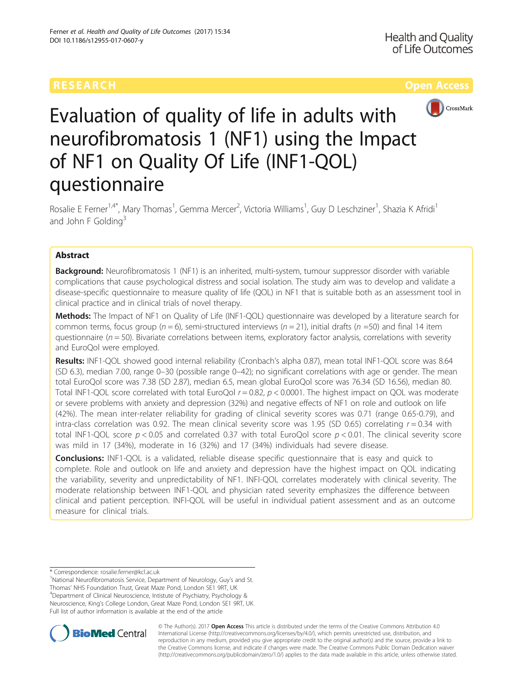

# Evaluation of quality of life in adults with neurofibromatosis 1 (NF1) using the Impact of NF1 on Quality Of Life (INF1-QOL) questionnaire

Rosalie E Ferner<sup>1,4\*</sup>, Mary Thomas<sup>1</sup>, Gemma Mercer<sup>2</sup>, Victoria Williams<sup>1</sup>, Guy D Leschziner<sup>1</sup>, Shazia K Afridi<sup>1</sup> and John F Golding<sup>3</sup>

# Abstract

Background: Neurofibromatosis 1 (NF1) is an inherited, multi-system, tumour suppressor disorder with variable complications that cause psychological distress and social isolation. The study aim was to develop and validate a disease-specific questionnaire to measure quality of life (QOL) in NF1 that is suitable both as an assessment tool in clinical practice and in clinical trials of novel therapy.

Methods: The Impact of NF1 on Quality of Life (INF1-QOL) questionnaire was developed by a literature search for common terms, focus group ( $n = 6$ ), semi-structured interviews ( $n = 21$ ), initial drafts ( $n = 50$ ) and final 14 item questionnaire ( $n = 50$ ). Bivariate correlations between items, exploratory factor analysis, correlations with severity and EuroQol were employed.

Results: INF1-QOL showed good internal reliability (Cronbach's alpha 0.87), mean total INF1-QOL score was 8.64 (SD 6.3), median 7.00, range 0–30 (possible range 0–42); no significant correlations with age or gender. The mean total EuroQol score was 7.38 (SD 2.87), median 6.5, mean global EuroQol score was 76.34 (SD 16.56), median 80. Total INF1-QOL score correlated with total EuroQol  $r = 0.82$ ,  $p < 0.0001$ . The highest impact on QOL was moderate or severe problems with anxiety and depression (32%) and negative effects of NF1 on role and outlook on life (42%). The mean inter-relater reliability for grading of clinical severity scores was 0.71 (range 0.65-0.79), and intra-class correlation was 0.92. The mean clinical severity score was 1.95 (SD 0.65) correlating  $r = 0.34$  with total INF1-QOL score  $p < 0.05$  and correlated 0.37 with total EuroQol score  $p < 0.01$ . The clinical severity score was mild in 17 (34%), moderate in 16 (32%) and 17 (34%) individuals had severe disease.

**Conclusions:** INF1-QOL is a validated, reliable disease specific questionnaire that is easy and quick to complete. Role and outlook on life and anxiety and depression have the highest impact on QOL indicating the variability, severity and unpredictability of NF1. INFI-QOL correlates moderately with clinical severity. The moderate relationship between INF1-QOL and physician rated severity emphasizes the difference between clinical and patient perception. INFI-QOL will be useful in individual patient assessment and as an outcome measure for clinical trials.

<sup>1</sup>National Neurofibromatosis Service, Department of Neurology, Guy's and St. Thomas' NHS Foundation Trust, Great Maze Pond, London SE1 9RT, UK <sup>4</sup> Department of Clinical Neuroscience, Intistute of Psychiatry, Psychology & Neuroscience, King's College London, Great Maze Pond, London SE1 9RT, UK Full list of author information is available at the end of the article



© The Author(s). 2017 **Open Access** This article is distributed under the terms of the Creative Commons Attribution 4.0 International License [\(http://creativecommons.org/licenses/by/4.0/](http://creativecommons.org/licenses/by/4.0/)), which permits unrestricted use, distribution, and reproduction in any medium, provided you give appropriate credit to the original author(s) and the source, provide a link to the Creative Commons license, and indicate if changes were made. The Creative Commons Public Domain Dedication waiver [\(http://creativecommons.org/publicdomain/zero/1.0/](http://creativecommons.org/publicdomain/zero/1.0/)) applies to the data made available in this article, unless otherwise stated.

<sup>\*</sup> Correspondence: [rosalie.ferner@kcl.ac.uk](mailto:rosalie.ferner@kcl.ac.uk) <sup>1</sup>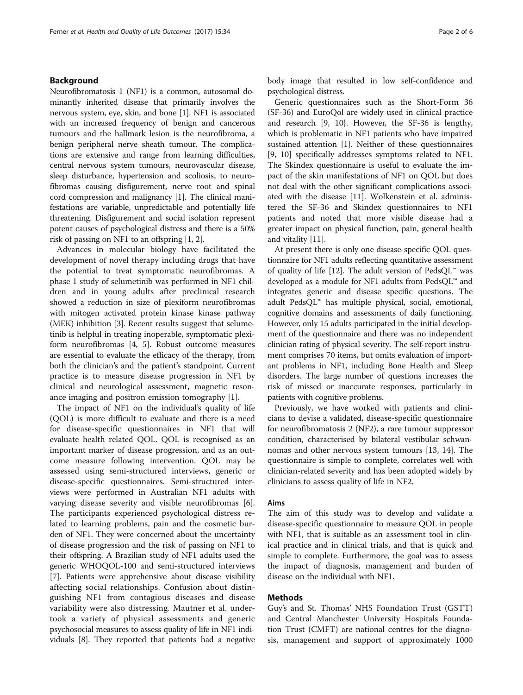# Background

Neurofibromatosis 1 (NF1) is a common, autosomal dominantly inherited disease that primarily involves the nervous system, eye, skin, and bone [\[1](#page-5-0)]. NF1 is associated with an increased frequency of benign and cancerous tumours and the hallmark lesion is the neurofibroma, a benign peripheral nerve sheath tumour. The complications are extensive and range from learning difficulties, central nervous system tumours, neurovascular disease, sleep disturbance, hypertension and scoliosis, to neurofibromas causing disfigurement, nerve root and spinal cord compression and malignancy [\[1](#page-5-0)]. The clinical manifestations are variable, unpredictable and potentially life threatening. Disfigurement and social isolation represent potent causes of psychological distress and there is a 50% risk of passing on NF1 to an offspring [\[1](#page-5-0), [2\]](#page-5-0).

Advances in molecular biology have facilitated the development of novel therapy including drugs that have the potential to treat symptomatic neurofibromas. A phase 1 study of selumetinib was performed in NF1 children and in young adults after preclinical research showed a reduction in size of plexiform neurofibromas with mitogen activated protein kinase kinase pathway (MEK) inhibition [[3\]](#page-5-0). Recent results suggest that selumetinib is helpful in treating inoperable, symptomatic plexiform neurofibromas [[4, 5](#page-5-0)]. Robust outcome measures are essential to evaluate the efficacy of the therapy, from both the clinician's and the patient's standpoint. Current practice is to measure disease progression in NF1 by clinical and neurological assessment, magnetic resonance imaging and positron emission tomography [[1\]](#page-5-0).

The impact of NF1 on the individual's quality of life (QOL) is more difficult to evaluate and there is a need for disease-specific questionnaires in NF1 that will evaluate health related QOL. QOL is recognised as an important marker of disease progression, and as an outcome measure following intervention. QOL may be assessed using semi-structured interviews, generic or disease-specific questionnaires. Semi-structured interviews were performed in Australian NF1 adults with varying disease severity and visible neurofibromas [\[6](#page-5-0)]. The participants experienced psychological distress related to learning problems, pain and the cosmetic burden of NF1. They were concerned about the uncertainty of disease progression and the risk of passing on NF1 to their offspring. A Brazilian study of NF1 adults used the generic WHOQOL-100 and semi-structured interviews [[7\]](#page-5-0). Patients were apprehensive about disease visibility affecting social relationships. Confusion about distinguishing NF1 from contagious diseases and disease variability were also distressing. Mautner et al. undertook a variety of physical assessments and generic psychosocial measures to assess quality of life in NF1 individuals [\[8](#page-5-0)]. They reported that patients had a negative body image that resulted in low self-confidence and psychological distress.

Generic questionnaires such as the Short-Form 36 (SF-36) and EuroQol are widely used in clinical practice and research [9, 10}. However, the SF-36 is lengthy, which is problematic in NF1 patients who have impaired sustained attention [[1](#page-5-0)]. Neither of these questionnaires [[9, 10](#page-5-0)] specifically addresses symptoms related to NF1. The Skindex questionnaire is useful to evaluate the impact of the skin manifestations of NF1 on QOL but does not deal with the other significant complications associated with the disease [[11\]](#page-5-0). Wolkenstein et al. administered the SF-36 and Skindex questionnaires to NF1 patients and noted that more visible disease had a greater impact on physical function, pain, general health and vitality [\[11\]](#page-5-0).

At present there is only one disease-specific QOL questionnaire for NF1 adults reflecting quantitative assessment of quality of life [\[12](#page-5-0)]. The adult version of  $\text{PedsQL}^{\mathfrak{m}}$  was developed as a module for NF1 adults from PedsQL™ and integrates generic and disease specific questions. The adult PedsQL™ has multiple physical, social, emotional, cognitive domains and assessments of daily functioning. However, only 15 adults participated in the initial development of the questionnaire and there was no independent clinician rating of physical severity. The self-report instrument comprises 70 items, but omits evaluation of important problems in NF1, including Bone Health and Sleep disorders. The large number of questions increases the risk of missed or inaccurate responses, particularly in patients with cognitive problems.

Previously, we have worked with patients and clinicians to devise a validated, disease-specific questionnaire for neurofibromatosis 2 (NF2), a rare tumour suppressor condition, characterised by bilateral vestibular schwannomas and other nervous system tumours [\[13, 14](#page-5-0)]. The questionnaire is simple to complete, correlates well with clinician-related severity and has been adopted widely by clinicians to assess quality of life in NF2.

## Aims

The aim of this study was to develop and validate a disease-specific questionnaire to measure QOL in people with NF1, that is suitable as an assessment tool in clinical practice and in clinical trials, and that is quick and simple to complete. Furthermore, the goal was to assess the impact of diagnosis, management and burden of disease on the individual with NF1.

# Methods

Guy's and St. Thomas' NHS Foundation Trust (GSTT) and Central Manchester University Hospitals Foundation Trust (CMFT) are national centres for the diagnosis, management and support of approximately 1000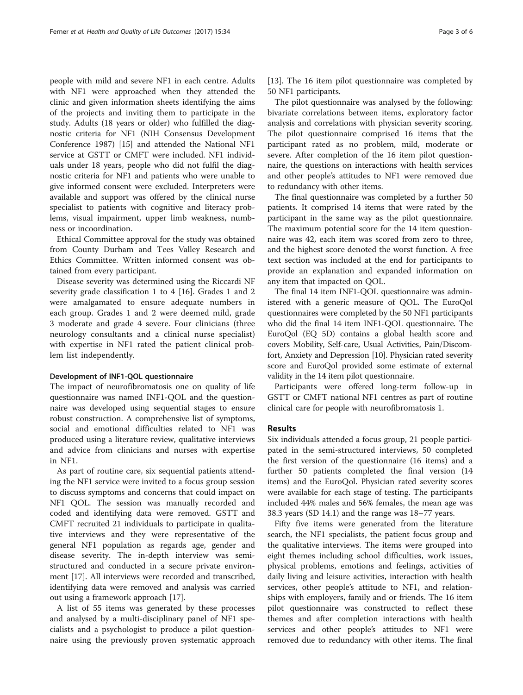people with mild and severe NF1 in each centre. Adults with NF1 were approached when they attended the clinic and given information sheets identifying the aims of the projects and inviting them to participate in the study. Adults (18 years or older) who fulfilled the diagnostic criteria for NF1 (NIH Consensus Development Conference 1987) [[15](#page-5-0)] and attended the National NF1 service at GSTT or CMFT were included. NF1 individuals under 18 years, people who did not fulfil the diagnostic criteria for NF1 and patients who were unable to give informed consent were excluded. Interpreters were available and support was offered by the clinical nurse specialist to patients with cognitive and literacy problems, visual impairment, upper limb weakness, numbness or incoordination.

Ethical Committee approval for the study was obtained from County Durham and Tees Valley Research and Ethics Committee. Written informed consent was obtained from every participant.

Disease severity was determined using the Riccardi NF severity grade classification 1 to 4 [\[16](#page-5-0)]. Grades 1 and 2 were amalgamated to ensure adequate numbers in each group. Grades 1 and 2 were deemed mild, grade 3 moderate and grade 4 severe. Four clinicians (three neurology consultants and a clinical nurse specialist) with expertise in NF1 rated the patient clinical problem list independently.

### Development of INF1-QOL questionnaire

The impact of neurofibromatosis one on quality of life questionnaire was named INF1-QOL and the questionnaire was developed using sequential stages to ensure robust construction. A comprehensive list of symptoms, social and emotional difficulties related to NF1 was produced using a literature review, qualitative interviews and advice from clinicians and nurses with expertise in NF1.

As part of routine care, six sequential patients attending the NF1 service were invited to a focus group session to discuss symptoms and concerns that could impact on NF1 QOL. The session was manually recorded and coded and identifying data were removed. GSTT and CMFT recruited 21 individuals to participate in qualitative interviews and they were representative of the general NF1 population as regards age, gender and disease severity. The in-depth interview was semistructured and conducted in a secure private environment [\[17\]](#page-5-0). All interviews were recorded and transcribed, identifying data were removed and analysis was carried out using a framework approach [\[17\]](#page-5-0).

A list of 55 items was generated by these processes and analysed by a multi-disciplinary panel of NF1 specialists and a psychologist to produce a pilot questionnaire using the previously proven systematic approach

[[13\]](#page-5-0). The 16 item pilot questionnaire was completed by 50 NF1 participants.

The pilot questionnaire was analysed by the following: bivariate correlations between items, exploratory factor analysis and correlations with physician severity scoring. The pilot questionnaire comprised 16 items that the participant rated as no problem, mild, moderate or severe. After completion of the 16 item pilot questionnaire, the questions on interactions with health services and other people's attitudes to NF1 were removed due to redundancy with other items.

The final questionnaire was completed by a further 50 patients. It comprised 14 items that were rated by the participant in the same way as the pilot questionnaire. The maximum potential score for the 14 item questionnaire was 42, each item was scored from zero to three, and the highest score denoted the worst function. A free text section was included at the end for participants to provide an explanation and expanded information on any item that impacted on QOL.

The final 14 item INF1-QOL questionnaire was administered with a generic measure of QOL. The EuroQol questionnaires were completed by the 50 NF1 participants who did the final 14 item INF1-QOL questionnaire. The EuroQol (EQ 5D) contains a global health score and covers Mobility, Self-care, Usual Activities, Pain/Discomfort, Anxiety and Depression [[10](#page-5-0)]. Physician rated severity score and EuroQol provided some estimate of external validity in the 14 item pilot questionnaire.

Participants were offered long-term follow-up in GSTT or CMFT national NF1 centres as part of routine clinical care for people with neurofibromatosis 1.

### Results

Six individuals attended a focus group, 21 people participated in the semi-structured interviews, 50 completed the first version of the questionnaire (16 items) and a further 50 patients completed the final version (14 items) and the EuroQol. Physician rated severity scores were available for each stage of testing. The participants included 44% males and 56% females, the mean age was 38.3 years (SD 14.1) and the range was 18–77 years.

Fifty five items were generated from the literature search, the NF1 specialists, the patient focus group and the qualitative interviews. The items were grouped into eight themes including school difficulties, work issues, physical problems, emotions and feelings, activities of daily living and leisure activities, interaction with health services, other people's attitude to NF1, and relationships with employers, family and or friends. The 16 item pilot questionnaire was constructed to reflect these themes and after completion interactions with health services and other people's attitudes to NF1 were removed due to redundancy with other items. The final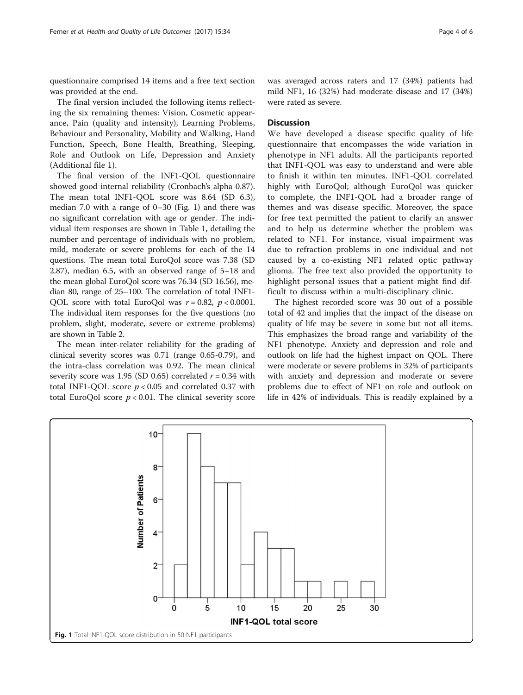questionnaire comprised 14 items and a free text section was provided at the end.

The final version included the following items reflecting the six remaining themes: Vision, Cosmetic appearance, Pain (quality and intensity), Learning Problems, Behaviour and Personality, Mobility and Walking, Hand Function, Speech, Bone Health, Breathing, Sleeping, Role and Outlook on Life, Depression and Anxiety (Additional file [1\)](#page-5-0).

The final version of the INF1-QOL questionnaire showed good internal reliability (Cronbach's alpha 0.87). The mean total INF1-QOL score was 8.64 (SD 6.3), median 7.0 with a range of 0–30 (Fig. 1) and there was no significant correlation with age or gender. The individual item responses are shown in Table [1](#page-4-0), detailing the number and percentage of individuals with no problem, mild, moderate or severe problems for each of the 14 questions. The mean total EuroQol score was 7.38 (SD 2.87), median 6.5, with an observed range of 5–18 and the mean global EuroQol score was 76.34 (SD 16.56), median 80, range of 25–100. The correlation of total INF1- QOL score with total EuroQol was  $r = 0.82$ ,  $p < 0.0001$ . The individual item responses for the five questions (no problem, slight, moderate, severe or extreme problems) are shown in Table [2.](#page-4-0)

The mean inter-relater reliability for the grading of clinical severity scores was 0.71 (range 0.65-0.79), and the intra-class correlation was 0.92. The mean clinical severity score was 1.95 (SD 0.65) correlated  $r = 0.34$  with total INF1-OOL score  $p < 0.05$  and correlated 0.37 with total EuroQol score  $p < 0.01$ . The clinical severity score was averaged across raters and 17 (34%) patients had mild NF1, 16 (32%) had moderate disease and 17 (34%) were rated as severe.

# **Discussion**

We have developed a disease specific quality of life questionnaire that encompasses the wide variation in phenotype in NF1 adults. All the participants reported that INF1-QOL was easy to understand and were able to finish it within ten minutes. INF1-QOL correlated highly with EuroQol; although EuroQol was quicker to complete, the INF1-QOL had a broader range of themes and was disease specific. Moreover, the space for free text permitted the patient to clarify an answer and to help us determine whether the problem was related to NF1. For instance, visual impairment was due to refraction problems in one individual and not caused by a co-existing NF1 related optic pathway glioma. The free text also provided the opportunity to highlight personal issues that a patient might find difficult to discuss within a multi-disciplinary clinic.

The highest recorded score was 30 out of a possible total of 42 and implies that the impact of the disease on quality of life may be severe in some but not all items. This emphasizes the broad range and variability of the NF1 phenotype. Anxiety and depression and role and outlook on life had the highest impact on QOL. There were moderate or severe problems in 32% of participants with anxiety and depression and moderate or severe problems due to effect of NF1 on role and outlook on life in 42% of individuals. This is readily explained by a

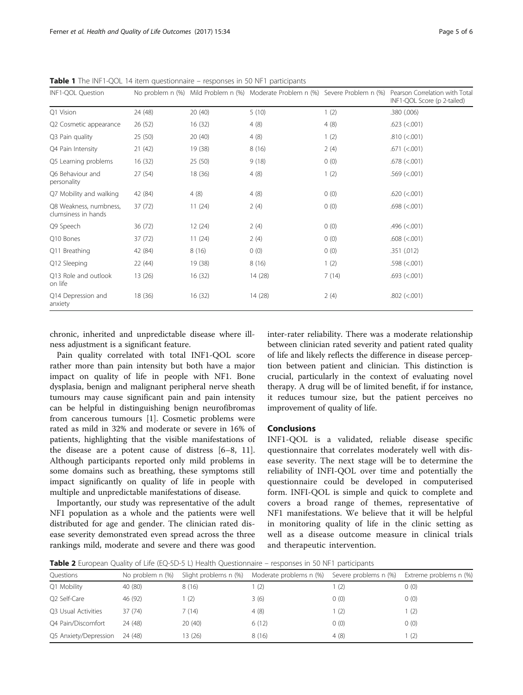| INF1-QOL Question                             |         |         |         |       | No problem n (%) Mild Problem n (%) Moderate Problem n (%) Severe Problem n (%) Pearson Correlation with Tota<br>INF1-QOL Score (p 2-tailed) |
|-----------------------------------------------|---------|---------|---------|-------|----------------------------------------------------------------------------------------------------------------------------------------------|
| Q1 Vision                                     | 24 (48) | 20(40)  | 5(10)   | 1(2)  | .380(.006)                                                                                                                                   |
| Q2 Cosmetic appearance                        | 26(52)  | 16(32)  | 4(8)    | 4(8)  | $.623$ ( $< .001$ )                                                                                                                          |
| Q3 Pain quality                               | 25(50)  | 20(40)  | 4(8)    | 1(2)  | .810 (< 0.001)                                                                                                                               |
| Q4 Pain Intensity                             | 21(42)  | 19 (38) | 8(16)   | 2(4)  | $.671$ ( $< .001$ )                                                                                                                          |
| Q5 Learning problems                          | 16(32)  | 25(50)  | 9(18)   | 0(0)  | $.678$ ( $< .001$ )                                                                                                                          |
| O6 Behaviour and<br>personality               | 27 (54) | 18 (36) | 4(8)    | 1(2)  | $.569$ (<.001)                                                                                                                               |
| Q7 Mobility and walking                       | 42 (84) | 4(8)    | 4(8)    | 0(0)  | .620 (< 0.001)                                                                                                                               |
| Q8 Weakness, numbness,<br>clumsiness in hands | 37(72)  | 11(24)  | 2(4)    | 0(0)  | $.698$ (<.001)                                                                                                                               |
| Q9 Speech                                     | 36(72)  | 12(24)  | 2(4)    | 0(0)  | $.496$ ( $< .001$ )                                                                                                                          |
| Q10 Bones                                     | 37(72)  | 11(24)  | 2(4)    | 0(0)  | $.608$ (<.001)                                                                                                                               |
| Q11 Breathing                                 | 42 (84) | 8(16)   | 0(0)    | 0(0)  | .351(.012)                                                                                                                                   |
| Q12 Sleeping                                  | 22 (44) | 19 (38) | 8(16)   | 1(2)  | .598 (< 0.001)                                                                                                                               |
| Q13 Role and outlook<br>on life               | 13(26)  | 16(32)  | 14 (28) | 7(14) | $.693$ (<.001)                                                                                                                               |
| Q14 Depression and<br>anxiety                 | 18(36)  | 16(32)  | 14 (28) | 2(4)  | $.802$ (<.001)                                                                                                                               |

<span id="page-4-0"></span>Table 1 The INF1-QOL 14 item questionnaire – responses in 50 NF1 participants

chronic, inherited and unpredictable disease where illness adjustment is a significant feature.

Pain quality correlated with total INF1-QOL score rather more than pain intensity but both have a major impact on quality of life in people with NF1. Bone dysplasia, benign and malignant peripheral nerve sheath tumours may cause significant pain and pain intensity can be helpful in distinguishing benign neurofibromas from cancerous tumours [[1\]](#page-5-0). Cosmetic problems were rated as mild in 32% and moderate or severe in 16% of patients, highlighting that the visible manifestations of the disease are a potent cause of distress [[6](#page-5-0)–[8](#page-5-0), [11](#page-5-0)]. Although participants reported only mild problems in some domains such as breathing, these symptoms still impact significantly on quality of life in people with multiple and unpredictable manifestations of disease.

Importantly, our study was representative of the adult NF1 population as a whole and the patients were well distributed for age and gender. The clinician rated disease severity demonstrated even spread across the three rankings mild, moderate and severe and there was good inter-rater reliability. There was a moderate relationship between clinician rated severity and patient rated quality of life and likely reflects the difference in disease perception between patient and clinician. This distinction is crucial, particularly in the context of evaluating novel therapy. A drug will be of limited benefit, if for instance, it reduces tumour size, but the patient perceives no improvement of quality of life.

# Conclusions

INF1-QOL is a validated, reliable disease specific questionnaire that correlates moderately well with disease severity. The next stage will be to determine the reliability of INFI-QOL over time and potentially the questionnaire could be developed in computerised form. INFI-QOL is simple and quick to complete and covers a broad range of themes, representative of NF1 manifestations. We believe that it will be helpful in monitoring quality of life in the clinic setting as well as a disease outcome measure in clinical trials and therapeutic intervention.

**Table 2** European Quality of Life (EQ-5D-5 L) Health Questionnaire – responses in 50 NF1 participants

| Slight problems n (%) | Moderate problems n (%) | Severe problems n (%)                 | Extreme problems n (%)                     |
|-----------------------|-------------------------|---------------------------------------|--------------------------------------------|
|                       |                         |                                       |                                            |
| 8(16)                 |                         |                                       | 0(0)                                       |
| 1 (2)                 |                         |                                       | 0(0)                                       |
| 7(14)                 |                         |                                       | 1(2)                                       |
| 20(40)                |                         |                                       | 0(0)                                       |
| 13 (26)               |                         |                                       | (2)                                        |
|                       |                         | (2)<br>3(6)<br>4(8)<br>6(12)<br>8(16) | (2)<br>0(0)<br>$\vert$ (2)<br>0(0)<br>4(8) |